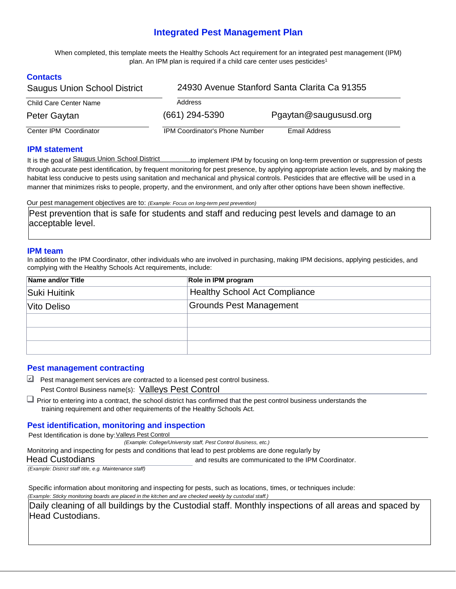# **Integrated Pest Management Plan**

When completed, this template meets the Healthy Schools Act requirement for an integrated pest management (IPM) plan. An IPM plan is required if a child care center uses pesticides<sup>1</sup>

## **Contacts**

| <b>Saugus Union School District</b> | 24930 Avenue Stanford Santa Clarita Ca 91355 |                       |  |  |  |
|-------------------------------------|----------------------------------------------|-----------------------|--|--|--|
| <b>Child Care Center Name</b>       | Address                                      |                       |  |  |  |
| Peter Gaytan                        | $(661)$ 294-5390                             | Pgaytan@saugususd.org |  |  |  |
| Center IPM Coordinator              | <b>IPM Coordinator's Phone Number</b>        | Email Address         |  |  |  |

#### **IPM statement**

It is the goal of Saugus Union School District the total implement IPM by focusing on long-term prevention or suppression of pests through accurate pest identification, by frequent monitoring for pest presence, by applying appropriate action levels, and by making the habitat less conducive to pests using sanitation and mechanical and physical controls. Pesticides that are effective will be used in a manner that minimizes risks to people, property, and the environment, and only after other options have been shown ineffective.

Our pest management objectives are to: *(Example: Focus on long-term pest prevention)*

Pest prevention that is safe for students and staff and reducing pest levels and damage to an acceptable level.

#### **IPM team**

In addition to the IPM Coordinator, other individuals who are involved in purchasing, making IPM decisions, applying pesticides, and complying with the Healthy Schools Act requirements, include:

| Name and/or Title | Role in IPM program                  |  |  |  |  |
|-------------------|--------------------------------------|--|--|--|--|
| Suki Huitink      | <b>Healthy School Act Compliance</b> |  |  |  |  |
| Vito Deliso       | <b>Grounds Pest Management</b>       |  |  |  |  |
|                   |                                      |  |  |  |  |
|                   |                                      |  |  |  |  |
|                   |                                      |  |  |  |  |

#### **Pest management contracting**

- ❑✔ Pest management services are contracted to a licensed pest control business. Pest Control Business name(s): Valleys Pest Control
- □ Prior to entering into a contract, the school district has confirmed that the pest control business understands the training requirement and other requirements of the Healthy Schools Act.

#### **Pest identification, monitoring and inspection**

Pest Identification is done by:Valleys Pest Control

*(Example: College/University staff, Pest Control Business, etc.)*

Monitoring and inspecting for pests and conditions that lead to pest problems are done regularly by

Head Custodians and results are communicated to the IPM Coordinator.

*(Example: District staff title, e.g. Maintenance staff)*

Specific information about monitoring and inspecting for pests, such as locations, times, or techniques include: *(Example: Sticky monitoring boards are placed in the kitchen and are checked weekly by custodial staff.)*

Daily cleaning of all buildings by the Custodial staff. Monthly inspections of all areas and spaced by Head Custodians.